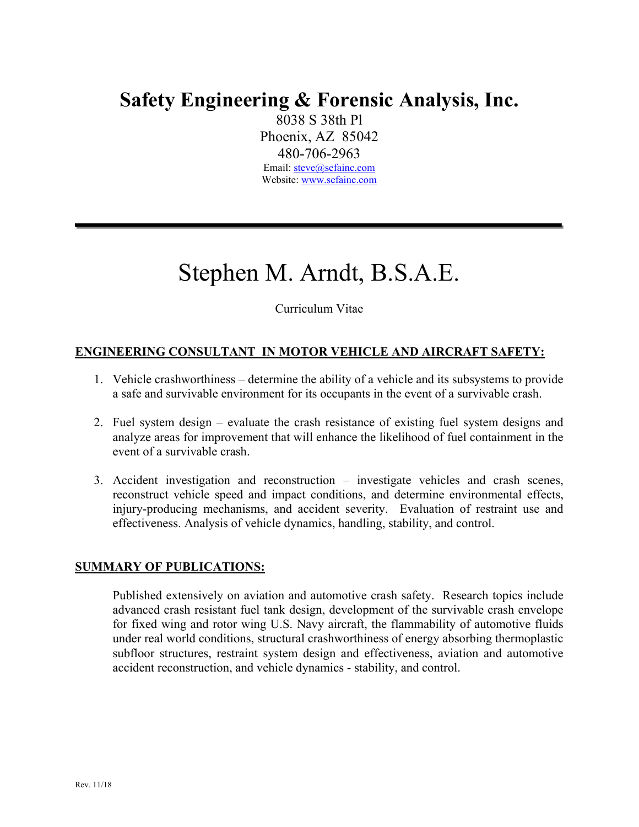# **Safety Engineering & Forensic Analysis, Inc.**

8038 S 38th Pl Phoenix, AZ 85042 480-706-2963 Email: steve@sefainc.com Website: www.sefainc.com

# Stephen M. Arndt, B.S.A.E.

Curriculum Vitae

## **ENGINEERING CONSULTANT IN MOTOR VEHICLE AND AIRCRAFT SAFETY:**

- 1. Vehicle crashworthiness determine the ability of a vehicle and its subsystems to provide a safe and survivable environment for its occupants in the event of a survivable crash.
- 2. Fuel system design evaluate the crash resistance of existing fuel system designs and analyze areas for improvement that will enhance the likelihood of fuel containment in the event of a survivable crash.
- 3. Accident investigation and reconstruction investigate vehicles and crash scenes, reconstruct vehicle speed and impact conditions, and determine environmental effects, injury-producing mechanisms, and accident severity. Evaluation of restraint use and effectiveness. Analysis of vehicle dynamics, handling, stability, and control.

#### **SUMMARY OF PUBLICATIONS:**

Published extensively on aviation and automotive crash safety. Research topics include advanced crash resistant fuel tank design, development of the survivable crash envelope for fixed wing and rotor wing U.S. Navy aircraft, the flammability of automotive fluids under real world conditions, structural crashworthiness of energy absorbing thermoplastic subfloor structures, restraint system design and effectiveness, aviation and automotive accident reconstruction, and vehicle dynamics - stability, and control.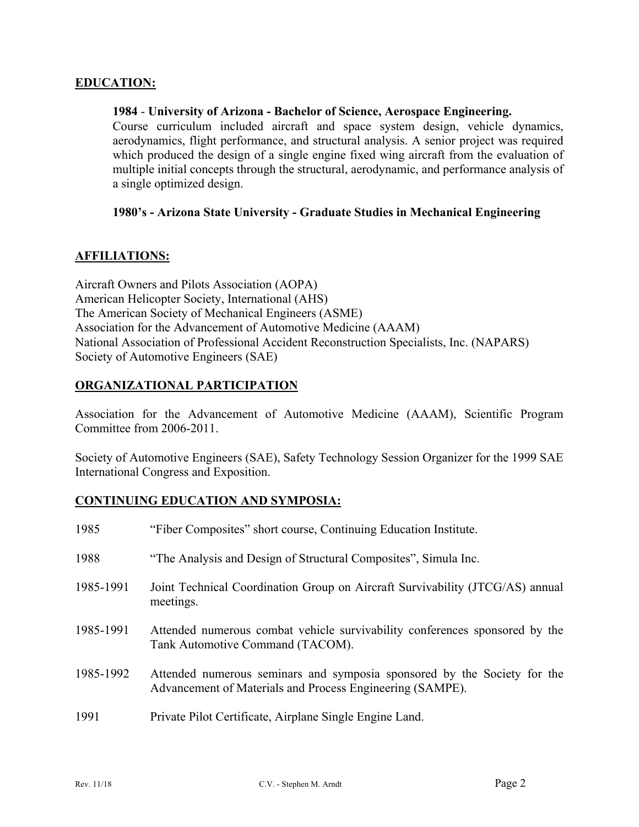#### **EDUCATION:**

#### **1984** - **University of Arizona - Bachelor of Science, Aerospace Engineering.**

Course curriculum included aircraft and space system design, vehicle dynamics, aerodynamics, flight performance, and structural analysis. A senior project was required which produced the design of a single engine fixed wing aircraft from the evaluation of multiple initial concepts through the structural, aerodynamic, and performance analysis of a single optimized design.

#### **1980's - Arizona State University - Graduate Studies in Mechanical Engineering**

#### **AFFILIATIONS:**

Aircraft Owners and Pilots Association (AOPA) American Helicopter Society, International (AHS) The American Society of Mechanical Engineers (ASME) Association for the Advancement of Automotive Medicine (AAAM) National Association of Professional Accident Reconstruction Specialists, Inc. (NAPARS) Society of Automotive Engineers (SAE)

#### **ORGANIZATIONAL PARTICIPATION**

Association for the Advancement of Automotive Medicine (AAAM), Scientific Program Committee from 2006-2011.

Society of Automotive Engineers (SAE), Safety Technology Session Organizer for the 1999 SAE International Congress and Exposition.

#### **CONTINUING EDUCATION AND SYMPOSIA:**

| 1985      | "Fiber Composites" short course, Continuing Education Institute.                                                                      |
|-----------|---------------------------------------------------------------------------------------------------------------------------------------|
| 1988      | "The Analysis and Design of Structural Composites", Simula Inc.                                                                       |
| 1985-1991 | Joint Technical Coordination Group on Aircraft Survivability (JTCG/AS) annual<br>meetings.                                            |
| 1985-1991 | Attended numerous combat vehicle survivability conferences sponsored by the<br>Tank Automotive Command (TACOM).                       |
| 1985-1992 | Attended numerous seminars and symposia sponsored by the Society for the<br>Advancement of Materials and Process Engineering (SAMPE). |
| 1991      | Private Pilot Certificate, Airplane Single Engine Land.                                                                               |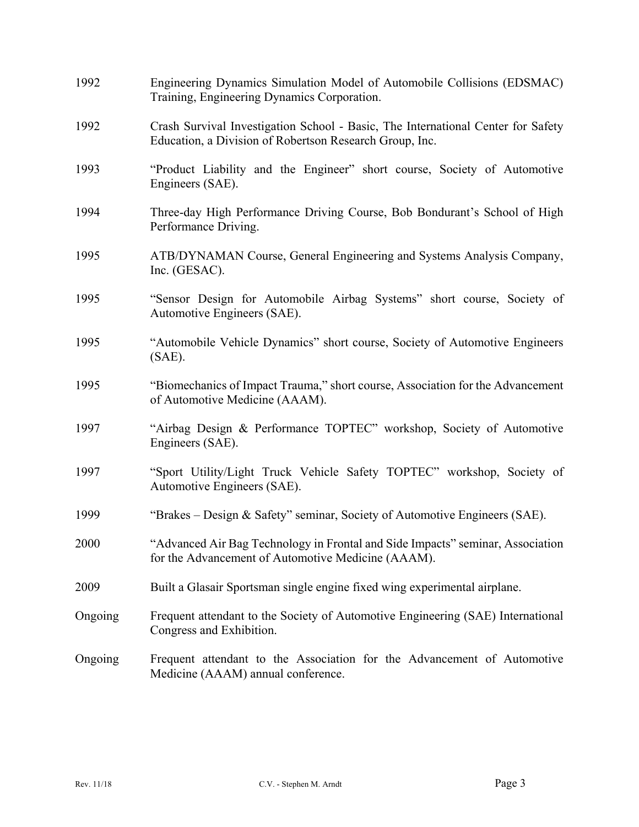| 1992    | Engineering Dynamics Simulation Model of Automobile Collisions (EDSMAC)<br>Training, Engineering Dynamics Corporation.                      |
|---------|---------------------------------------------------------------------------------------------------------------------------------------------|
| 1992    | Crash Survival Investigation School - Basic, The International Center for Safety<br>Education, a Division of Robertson Research Group, Inc. |
| 1993    | "Product Liability and the Engineer" short course, Society of Automotive<br>Engineers (SAE).                                                |
| 1994    | Three-day High Performance Driving Course, Bob Bondurant's School of High<br>Performance Driving.                                           |
| 1995    | ATB/DYNAMAN Course, General Engineering and Systems Analysis Company,<br>Inc. (GESAC).                                                      |
| 1995    | "Sensor Design for Automobile Airbag Systems" short course, Society of<br>Automotive Engineers (SAE).                                       |
| 1995    | "Automobile Vehicle Dynamics" short course, Society of Automotive Engineers<br>$(SAE)$ .                                                    |
| 1995    | "Biomechanics of Impact Trauma," short course, Association for the Advancement<br>of Automotive Medicine (AAAM).                            |
| 1997    | "Airbag Design & Performance TOPTEC" workshop, Society of Automotive<br>Engineers (SAE).                                                    |
| 1997    | "Sport Utility/Light Truck Vehicle Safety TOPTEC" workshop, Society of<br>Automotive Engineers (SAE).                                       |
| 1999    | "Brakes – Design & Safety" seminar, Society of Automotive Engineers (SAE).                                                                  |
| 2000    | "Advanced Air Bag Technology in Frontal and Side Impacts" seminar, Association<br>for the Advancement of Automotive Medicine (AAAM).        |
| 2009    | Built a Glasair Sportsman single engine fixed wing experimental airplane.                                                                   |
| Ongoing | Frequent attendant to the Society of Automotive Engineering (SAE) International<br>Congress and Exhibition.                                 |
| Ongoing | Frequent attendant to the Association for the Advancement of Automotive<br>Medicine (AAAM) annual conference.                               |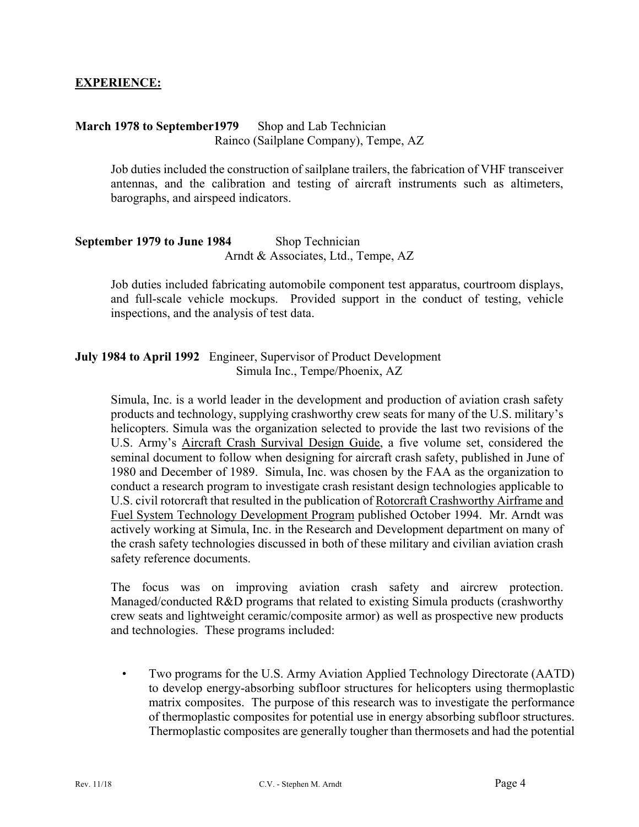#### **EXPERIENCE:**

#### **March 1978 to September1979** Shop and Lab Technician Rainco (Sailplane Company), Tempe, AZ

Job duties included the construction of sailplane trailers, the fabrication of VHF transceiver antennas, and the calibration and testing of aircraft instruments such as altimeters, barographs, and airspeed indicators.

#### **September 1979 to June 1984** Shop Technician Arndt & Associates, Ltd., Tempe, AZ

Job duties included fabricating automobile component test apparatus, courtroom displays, and full-scale vehicle mockups. Provided support in the conduct of testing, vehicle inspections, and the analysis of test data.

#### **July 1984 to April 1992** Engineer, Supervisor of Product Development Simula Inc., Tempe/Phoenix, AZ

Simula, Inc. is a world leader in the development and production of aviation crash safety products and technology, supplying crashworthy crew seats for many of the U.S. military's helicopters. Simula was the organization selected to provide the last two revisions of the U.S. Army's Aircraft Crash Survival Design Guide, a five volume set, considered the seminal document to follow when designing for aircraft crash safety, published in June of 1980 and December of 1989. Simula, Inc. was chosen by the FAA as the organization to conduct a research program to investigate crash resistant design technologies applicable to U.S. civil rotorcraft that resulted in the publication of Rotorcraft Crashworthy Airframe and Fuel System Technology Development Program published October 1994. Mr. Arndt was actively working at Simula, Inc. in the Research and Development department on many of the crash safety technologies discussed in both of these military and civilian aviation crash safety reference documents.

The focus was on improving aviation crash safety and aircrew protection. Managed/conducted R&D programs that related to existing Simula products (crashworthy crew seats and lightweight ceramic/composite armor) as well as prospective new products and technologies. These programs included:

• Two programs for the U.S. Army Aviation Applied Technology Directorate (AATD) to develop energy-absorbing subfloor structures for helicopters using thermoplastic matrix composites. The purpose of this research was to investigate the performance of thermoplastic composites for potential use in energy absorbing subfloor structures. Thermoplastic composites are generally tougher than thermosets and had the potential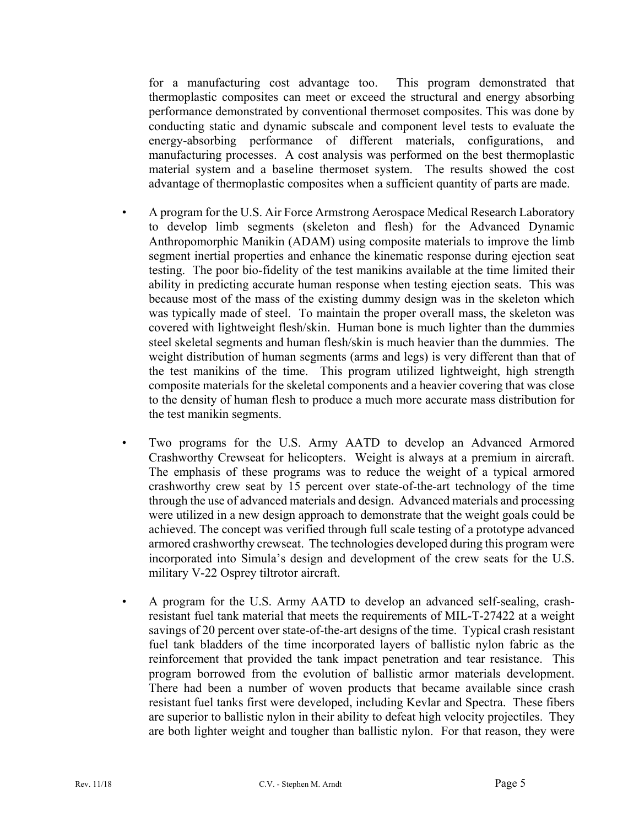for a manufacturing cost advantage too. This program demonstrated that thermoplastic composites can meet or exceed the structural and energy absorbing performance demonstrated by conventional thermoset composites. This was done by conducting static and dynamic subscale and component level tests to evaluate the energy-absorbing performance of different materials, configurations, and manufacturing processes. A cost analysis was performed on the best thermoplastic material system and a baseline thermoset system. The results showed the cost advantage of thermoplastic composites when a sufficient quantity of parts are made.

- A program for the U.S. Air Force Armstrong Aerospace Medical Research Laboratory to develop limb segments (skeleton and flesh) for the Advanced Dynamic Anthropomorphic Manikin (ADAM) using composite materials to improve the limb segment inertial properties and enhance the kinematic response during ejection seat testing. The poor bio-fidelity of the test manikins available at the time limited their ability in predicting accurate human response when testing ejection seats. This was because most of the mass of the existing dummy design was in the skeleton which was typically made of steel. To maintain the proper overall mass, the skeleton was covered with lightweight flesh/skin. Human bone is much lighter than the dummies steel skeletal segments and human flesh/skin is much heavier than the dummies. The weight distribution of human segments (arms and legs) is very different than that of the test manikins of the time. This program utilized lightweight, high strength composite materials for the skeletal components and a heavier covering that was close to the density of human flesh to produce a much more accurate mass distribution for the test manikin segments.
- Two programs for the U.S. Army AATD to develop an Advanced Armored Crashworthy Crewseat for helicopters. Weight is always at a premium in aircraft. The emphasis of these programs was to reduce the weight of a typical armored crashworthy crew seat by 15 percent over state-of-the-art technology of the time through the use of advanced materials and design. Advanced materials and processing were utilized in a new design approach to demonstrate that the weight goals could be achieved. The concept was verified through full scale testing of a prototype advanced armored crashworthy crewseat. The technologies developed during this program were incorporated into Simula's design and development of the crew seats for the U.S. military V-22 Osprey tiltrotor aircraft.
- A program for the U.S. Army AATD to develop an advanced self-sealing, crashresistant fuel tank material that meets the requirements of MIL-T-27422 at a weight savings of 20 percent over state-of-the-art designs of the time. Typical crash resistant fuel tank bladders of the time incorporated layers of ballistic nylon fabric as the reinforcement that provided the tank impact penetration and tear resistance. This program borrowed from the evolution of ballistic armor materials development. There had been a number of woven products that became available since crash resistant fuel tanks first were developed, including Kevlar and Spectra. These fibers are superior to ballistic nylon in their ability to defeat high velocity projectiles. They are both lighter weight and tougher than ballistic nylon. For that reason, they were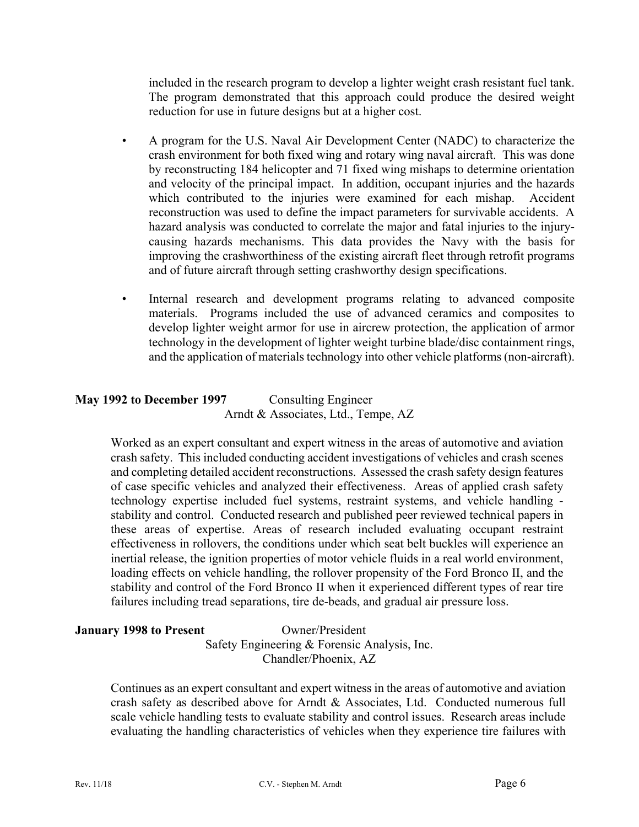included in the research program to develop a lighter weight crash resistant fuel tank. The program demonstrated that this approach could produce the desired weight reduction for use in future designs but at a higher cost.

- A program for the U.S. Naval Air Development Center (NADC) to characterize the crash environment for both fixed wing and rotary wing naval aircraft. This was done by reconstructing 184 helicopter and 71 fixed wing mishaps to determine orientation and velocity of the principal impact. In addition, occupant injuries and the hazards which contributed to the injuries were examined for each mishap. Accident reconstruction was used to define the impact parameters for survivable accidents. A hazard analysis was conducted to correlate the major and fatal injuries to the injurycausing hazards mechanisms. This data provides the Navy with the basis for improving the crashworthiness of the existing aircraft fleet through retrofit programs and of future aircraft through setting crashworthy design specifications.
- Internal research and development programs relating to advanced composite materials. Programs included the use of advanced ceramics and composites to develop lighter weight armor for use in aircrew protection, the application of armor technology in the development of lighter weight turbine blade/disc containment rings, and the application of materials technology into other vehicle platforms (non-aircraft).

## **May 1992 to December 1997** Consulting Engineer Arndt & Associates, Ltd., Tempe, AZ

Worked as an expert consultant and expert witness in the areas of automotive and aviation crash safety. This included conducting accident investigations of vehicles and crash scenes and completing detailed accident reconstructions. Assessed the crash safety design features of case specific vehicles and analyzed their effectiveness. Areas of applied crash safety technology expertise included fuel systems, restraint systems, and vehicle handling stability and control. Conducted research and published peer reviewed technical papers in these areas of expertise. Areas of research included evaluating occupant restraint effectiveness in rollovers, the conditions under which seat belt buckles will experience an inertial release, the ignition properties of motor vehicle fluids in a real world environment, loading effects on vehicle handling, the rollover propensity of the Ford Bronco II, and the stability and control of the Ford Bronco II when it experienced different types of rear tire failures including tread separations, tire de-beads, and gradual air pressure loss.

#### **January 1998 to Present** Owner/President Safety Engineering & Forensic Analysis, Inc. Chandler/Phoenix, AZ

Continues as an expert consultant and expert witness in the areas of automotive and aviation crash safety as described above for Arndt & Associates, Ltd. Conducted numerous full scale vehicle handling tests to evaluate stability and control issues. Research areas include evaluating the handling characteristics of vehicles when they experience tire failures with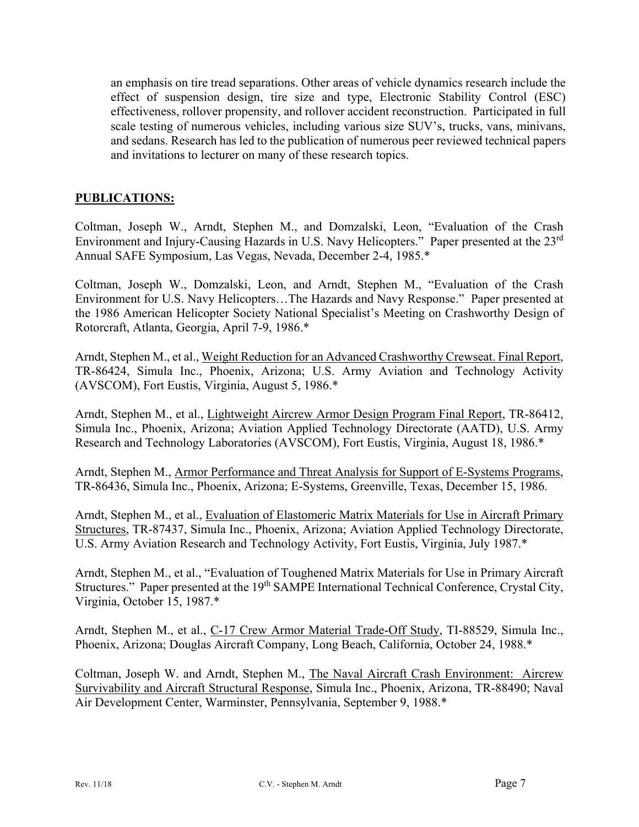an emphasis on tire tread separations. Other areas of vehicle dynamics research include the effect of suspension design, tire size and type, Electronic Stability Control (ESC) effectiveness, rollover propensity, and rollover accident reconstruction. Participated in full scale testing of numerous vehicles, including various size SUV's, trucks, vans, minivans, and sedans. Research has led to the publication of numerous peer reviewed technical papers and invitations to lecturer on many of these research topics.

#### **PUBLICATIONS:**

Coltman, Joseph W., Arndt, Stephen M., and Domzalski, Leon, "Evaluation of the Crash Environment and Injury-Causing Hazards in U.S. Navy Helicopters." Paper presented at the 23rd Annual SAFE Symposium, Las Vegas, Nevada, December 2-4, 1985.\*

Coltman, Joseph W., Domzalski, Leon, and Arndt, Stephen M., "Evaluation of the Crash Environment for U.S. Navy Helicopters…The Hazards and Navy Response." Paper presented at the 1986 American Helicopter Society National Specialist's Meeting on Crashworthy Design of Rotorcraft, Atlanta, Georgia, April 7-9, 1986.\*

Arndt, Stephen M., et al., Weight Reduction for an Advanced Crashworthy Crewseat. Final Report, TR-86424, Simula Inc., Phoenix, Arizona; U.S. Army Aviation and Technology Activity (AVSCOM), Fort Eustis, Virginia, August 5, 1986.\*

Arndt, Stephen M., et al., Lightweight Aircrew Armor Design Program Final Report, TR-86412, Simula Inc., Phoenix, Arizona; Aviation Applied Technology Directorate (AATD), U.S. Army Research and Technology Laboratories (AVSCOM), Fort Eustis, Virginia, August 18, 1986.\*

Arndt, Stephen M., Armor Performance and Threat Analysis for Support of E-Systems Programs, TR-86436, Simula Inc., Phoenix, Arizona; E-Systems, Greenville, Texas, December 15, 1986.

Arndt, Stephen M., et al., Evaluation of Elastomeric Matrix Materials for Use in Aircraft Primary Structures, TR-87437, Simula Inc., Phoenix, Arizona; Aviation Applied Technology Directorate, U.S. Army Aviation Research and Technology Activity, Fort Eustis, Virginia, July 1987.\*

Arndt, Stephen M., et al., "Evaluation of Toughened Matrix Materials for Use in Primary Aircraft Structures." Paper presented at the 19<sup>th</sup> SAMPE International Technical Conference, Crystal City, Virginia, October 15, 1987.\*

Arndt, Stephen M., et al., C-17 Crew Armor Material Trade-Off Study, TI-88529, Simula Inc., Phoenix, Arizona; Douglas Aircraft Company, Long Beach, California, October 24, 1988.\*

Coltman, Joseph W. and Arndt, Stephen M., The Naval Aircraft Crash Environment: Aircrew Survivability and Aircraft Structural Response, Simula Inc., Phoenix, Arizona, TR-88490; Naval Air Development Center, Warminster, Pennsylvania, September 9, 1988.\*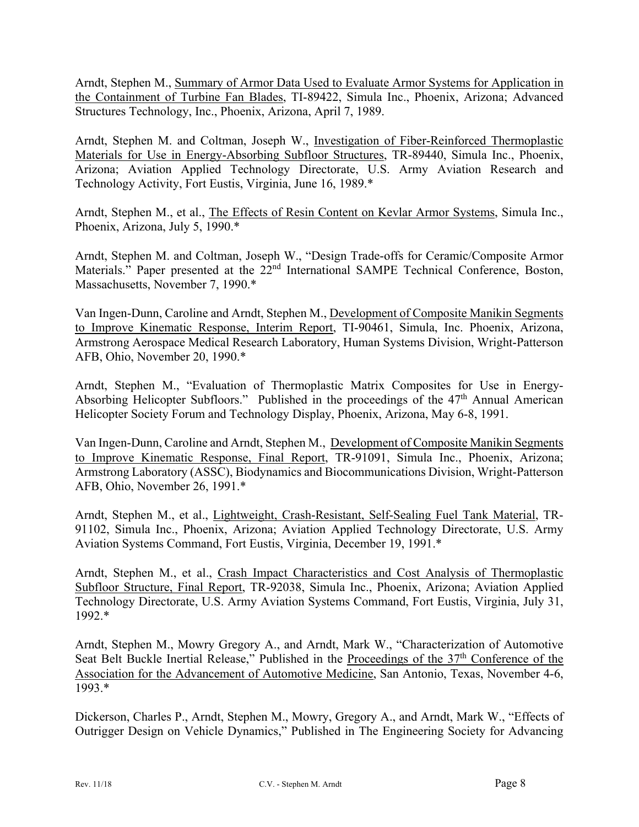Arndt, Stephen M., Summary of Armor Data Used to Evaluate Armor Systems for Application in the Containment of Turbine Fan Blades, TI-89422, Simula Inc., Phoenix, Arizona; Advanced Structures Technology, Inc., Phoenix, Arizona, April 7, 1989.

Arndt, Stephen M. and Coltman, Joseph W., Investigation of Fiber-Reinforced Thermoplastic Materials for Use in Energy-Absorbing Subfloor Structures, TR-89440, Simula Inc., Phoenix, Arizona; Aviation Applied Technology Directorate, U.S. Army Aviation Research and Technology Activity, Fort Eustis, Virginia, June 16, 1989.\*

Arndt, Stephen M., et al., The Effects of Resin Content on Kevlar Armor Systems, Simula Inc., Phoenix, Arizona, July 5, 1990.\*

Arndt, Stephen M. and Coltman, Joseph W., "Design Trade-offs for Ceramic/Composite Armor Materials." Paper presented at the 22<sup>nd</sup> International SAMPE Technical Conference, Boston, Massachusetts, November 7, 1990.\*

Van Ingen-Dunn, Caroline and Arndt, Stephen M., Development of Composite Manikin Segments to Improve Kinematic Response, Interim Report, TI-90461, Simula, Inc. Phoenix, Arizona, Armstrong Aerospace Medical Research Laboratory, Human Systems Division, Wright-Patterson AFB, Ohio, November 20, 1990.\*

Arndt, Stephen M., "Evaluation of Thermoplastic Matrix Composites for Use in Energy-Absorbing Helicopter Subfloors." Published in the proceedings of the 47<sup>th</sup> Annual American Helicopter Society Forum and Technology Display, Phoenix, Arizona, May 6-8, 1991.

Van Ingen-Dunn, Caroline and Arndt, Stephen M., Development of Composite Manikin Segments to Improve Kinematic Response, Final Report, TR-91091, Simula Inc., Phoenix, Arizona; Armstrong Laboratory (ASSC), Biodynamics and Biocommunications Division, Wright-Patterson AFB, Ohio, November 26, 1991.\*

Arndt, Stephen M., et al., Lightweight, Crash-Resistant, Self-Sealing Fuel Tank Material, TR-91102, Simula Inc., Phoenix, Arizona; Aviation Applied Technology Directorate, U.S. Army Aviation Systems Command, Fort Eustis, Virginia, December 19, 1991.\*

Arndt, Stephen M., et al., Crash Impact Characteristics and Cost Analysis of Thermoplastic Subfloor Structure, Final Report, TR-92038, Simula Inc., Phoenix, Arizona; Aviation Applied Technology Directorate, U.S. Army Aviation Systems Command, Fort Eustis, Virginia, July 31, 1992.\*

Arndt, Stephen M., Mowry Gregory A., and Arndt, Mark W., "Characterization of Automotive Seat Belt Buckle Inertial Release," Published in the Proceedings of the  $37<sup>th</sup>$  Conference of the Association for the Advancement of Automotive Medicine, San Antonio, Texas, November 4-6, 1993.\*

Dickerson, Charles P., Arndt, Stephen M., Mowry, Gregory A., and Arndt, Mark W., "Effects of Outrigger Design on Vehicle Dynamics," Published in The Engineering Society for Advancing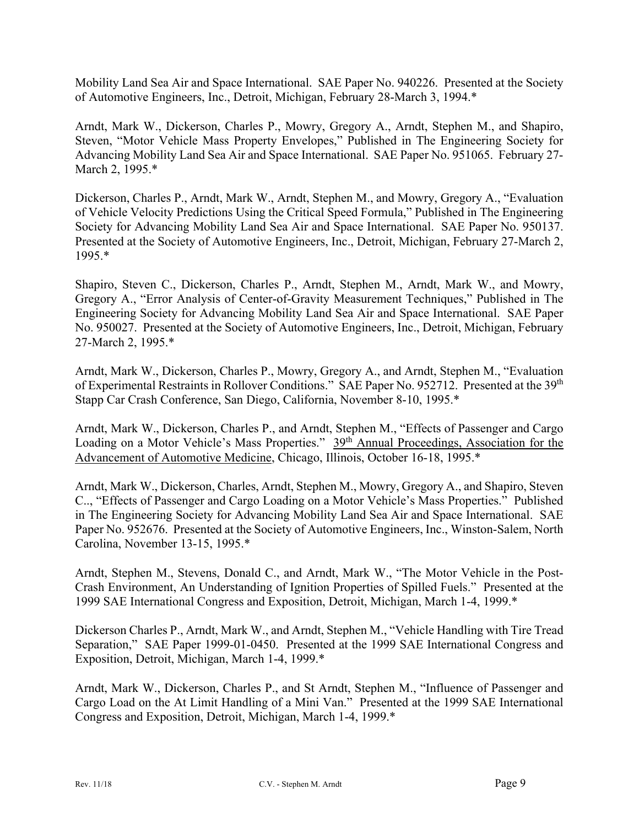Mobility Land Sea Air and Space International. SAE Paper No. 940226. Presented at the Society of Automotive Engineers, Inc., Detroit, Michigan, February 28-March 3, 1994.\*

Arndt, Mark W., Dickerson, Charles P., Mowry, Gregory A., Arndt, Stephen M., and Shapiro, Steven, "Motor Vehicle Mass Property Envelopes," Published in The Engineering Society for Advancing Mobility Land Sea Air and Space International. SAE Paper No. 951065. February 27- March 2, 1995.\*

Dickerson, Charles P., Arndt, Mark W., Arndt, Stephen M., and Mowry, Gregory A., "Evaluation of Vehicle Velocity Predictions Using the Critical Speed Formula," Published in The Engineering Society for Advancing Mobility Land Sea Air and Space International. SAE Paper No. 950137. Presented at the Society of Automotive Engineers, Inc., Detroit, Michigan, February 27-March 2, 1995.\*

Shapiro, Steven C., Dickerson, Charles P., Arndt, Stephen M., Arndt, Mark W., and Mowry, Gregory A., "Error Analysis of Center-of-Gravity Measurement Techniques," Published in The Engineering Society for Advancing Mobility Land Sea Air and Space International. SAE Paper No. 950027. Presented at the Society of Automotive Engineers, Inc., Detroit, Michigan, February 27-March 2, 1995.\*

Arndt, Mark W., Dickerson, Charles P., Mowry, Gregory A., and Arndt, Stephen M., "Evaluation of Experimental Restraints in Rollover Conditions." SAE Paper No. 952712. Presented at the 39<sup>th</sup> Stapp Car Crash Conference, San Diego, California, November 8-10, 1995.\*

Arndt, Mark W., Dickerson, Charles P., and Arndt, Stephen M., "Effects of Passenger and Cargo Loading on a Motor Vehicle's Mass Properties." 39<sup>th</sup> Annual Proceedings, Association for the Advancement of Automotive Medicine, Chicago, Illinois, October 16-18, 1995.\*

Arndt, Mark W., Dickerson, Charles, Arndt, Stephen M., Mowry, Gregory A., and Shapiro, Steven C.., "Effects of Passenger and Cargo Loading on a Motor Vehicle's Mass Properties." Published in The Engineering Society for Advancing Mobility Land Sea Air and Space International. SAE Paper No. 952676. Presented at the Society of Automotive Engineers, Inc., Winston-Salem, North Carolina, November 13-15, 1995.\*

Arndt, Stephen M., Stevens, Donald C., and Arndt, Mark W., "The Motor Vehicle in the Post-Crash Environment, An Understanding of Ignition Properties of Spilled Fuels." Presented at the 1999 SAE International Congress and Exposition, Detroit, Michigan, March 1-4, 1999.\*

Dickerson Charles P., Arndt, Mark W., and Arndt, Stephen M., "Vehicle Handling with Tire Tread Separation," SAE Paper 1999-01-0450. Presented at the 1999 SAE International Congress and Exposition, Detroit, Michigan, March 1-4, 1999.\*

Arndt, Mark W., Dickerson, Charles P., and St Arndt, Stephen M., "Influence of Passenger and Cargo Load on the At Limit Handling of a Mini Van." Presented at the 1999 SAE International Congress and Exposition, Detroit, Michigan, March 1-4, 1999.\*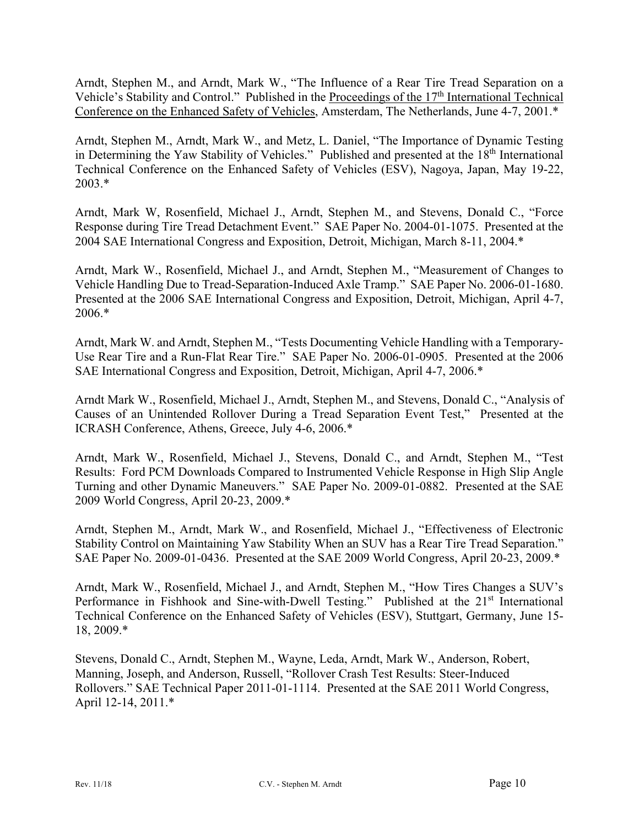Arndt, Stephen M., and Arndt, Mark W., "The Influence of a Rear Tire Tread Separation on a Vehicle's Stability and Control." Published in the Proceedings of the 17<sup>th</sup> International Technical Conference on the Enhanced Safety of Vehicles, Amsterdam, The Netherlands, June 4-7, 2001.\*

Arndt, Stephen M., Arndt, Mark W., and Metz, L. Daniel, "The Importance of Dynamic Testing in Determining the Yaw Stability of Vehicles." Published and presented at the 18<sup>th</sup> International Technical Conference on the Enhanced Safety of Vehicles (ESV), Nagoya, Japan, May 19-22, 2003.\*

Arndt, Mark W, Rosenfield, Michael J., Arndt, Stephen M., and Stevens, Donald C., "Force Response during Tire Tread Detachment Event." SAE Paper No. 2004-01-1075. Presented at the 2004 SAE International Congress and Exposition, Detroit, Michigan, March 8-11, 2004.\*

Arndt, Mark W., Rosenfield, Michael J., and Arndt, Stephen M., "Measurement of Changes to Vehicle Handling Due to Tread-Separation-Induced Axle Tramp." SAE Paper No. 2006-01-1680. Presented at the 2006 SAE International Congress and Exposition, Detroit, Michigan, April 4-7, 2006.\*

Arndt, Mark W. and Arndt, Stephen M., "Tests Documenting Vehicle Handling with a Temporary-Use Rear Tire and a Run-Flat Rear Tire." SAE Paper No. 2006-01-0905. Presented at the 2006 SAE International Congress and Exposition, Detroit, Michigan, April 4-7, 2006.\*

Arndt Mark W., Rosenfield, Michael J., Arndt, Stephen M., and Stevens, Donald C., "Analysis of Causes of an Unintended Rollover During a Tread Separation Event Test," Presented at the ICRASH Conference, Athens, Greece, July 4-6, 2006.\*

Arndt, Mark W., Rosenfield, Michael J., Stevens, Donald C., and Arndt, Stephen M., "Test Results: Ford PCM Downloads Compared to Instrumented Vehicle Response in High Slip Angle Turning and other Dynamic Maneuvers." SAE Paper No. 2009-01-0882. Presented at the SAE 2009 World Congress, April 20-23, 2009.\*

Arndt, Stephen M., Arndt, Mark W., and Rosenfield, Michael J., "Effectiveness of Electronic Stability Control on Maintaining Yaw Stability When an SUV has a Rear Tire Tread Separation." SAE Paper No. 2009-01-0436. Presented at the SAE 2009 World Congress, April 20-23, 2009.\*

Arndt, Mark W., Rosenfield, Michael J., and Arndt, Stephen M., "How Tires Changes a SUV's Performance in Fishhook and Sine-with-Dwell Testing." Published at the 21<sup>st</sup> International Technical Conference on the Enhanced Safety of Vehicles (ESV), Stuttgart, Germany, June 15- 18, 2009.\*

Stevens, Donald C., Arndt, Stephen M., Wayne, Leda, Arndt, Mark W., Anderson, Robert, Manning, Joseph, and Anderson, Russell, "Rollover Crash Test Results: Steer-Induced Rollovers." SAE Technical Paper 2011-01-1114. Presented at the SAE 2011 World Congress, April 12-14, 2011.\*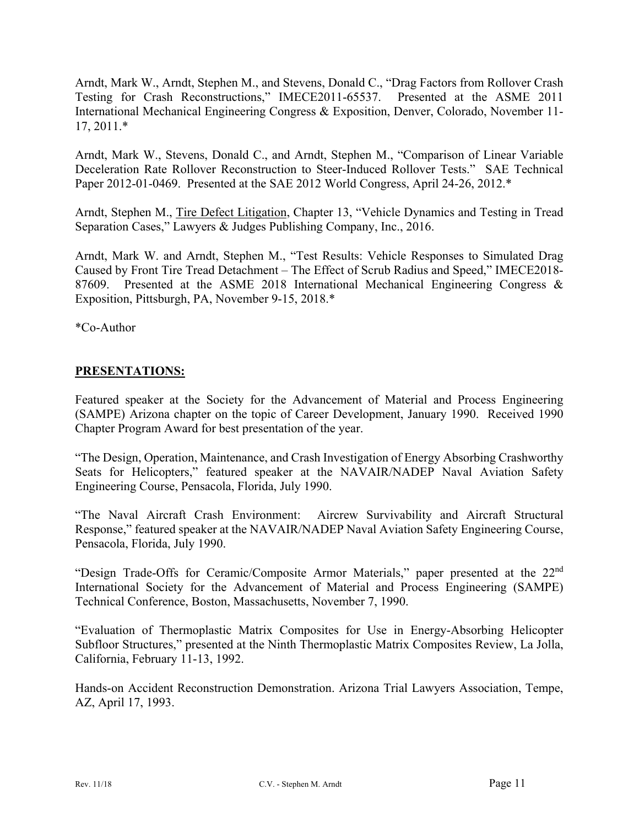Arndt, Mark W., Arndt, Stephen M., and Stevens, Donald C., "Drag Factors from Rollover Crash Testing for Crash Reconstructions," IMECE2011-65537. Presented at the ASME 2011 International Mechanical Engineering Congress & Exposition, Denver, Colorado, November 11- 17, 2011.\*

Arndt, Mark W., Stevens, Donald C., and Arndt, Stephen M., "Comparison of Linear Variable Deceleration Rate Rollover Reconstruction to Steer-Induced Rollover Tests." SAE Technical Paper 2012-01-0469. Presented at the SAE 2012 World Congress, April 24-26, 2012.\*

Arndt, Stephen M., Tire Defect Litigation, Chapter 13, "Vehicle Dynamics and Testing in Tread Separation Cases," Lawyers & Judges Publishing Company, Inc., 2016.

Arndt, Mark W. and Arndt, Stephen M., "Test Results: Vehicle Responses to Simulated Drag Caused by Front Tire Tread Detachment – The Effect of Scrub Radius and Speed," IMECE2018- 87609. Presented at the ASME 2018 International Mechanical Engineering Congress & Exposition, Pittsburgh, PA, November 9-15, 2018.\*

\*Co-Author

#### **PRESENTATIONS:**

Featured speaker at the Society for the Advancement of Material and Process Engineering (SAMPE) Arizona chapter on the topic of Career Development, January 1990. Received 1990 Chapter Program Award for best presentation of the year.

"The Design, Operation, Maintenance, and Crash Investigation of Energy Absorbing Crashworthy Seats for Helicopters," featured speaker at the NAVAIR/NADEP Naval Aviation Safety Engineering Course, Pensacola, Florida, July 1990.

"The Naval Aircraft Crash Environment: Aircrew Survivability and Aircraft Structural Response," featured speaker at the NAVAIR/NADEP Naval Aviation Safety Engineering Course, Pensacola, Florida, July 1990.

"Design Trade-Offs for Ceramic/Composite Armor Materials," paper presented at the 22<sup>nd</sup> International Society for the Advancement of Material and Process Engineering (SAMPE) Technical Conference, Boston, Massachusetts, November 7, 1990.

"Evaluation of Thermoplastic Matrix Composites for Use in Energy-Absorbing Helicopter Subfloor Structures," presented at the Ninth Thermoplastic Matrix Composites Review, La Jolla, California, February 11-13, 1992.

Hands-on Accident Reconstruction Demonstration. Arizona Trial Lawyers Association, Tempe, AZ, April 17, 1993.